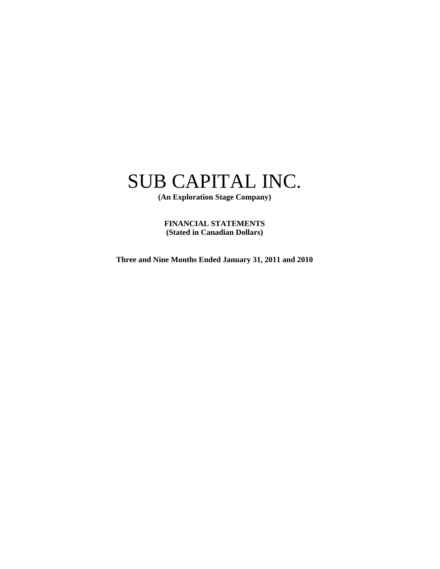# SUB CAPITAL INC.

**(An Exploration Stage Company)** 

**FINANCIAL STATEMENTS (Stated in Canadian Dollars)** 

**Three and Nine Months Ended January 31, 2011 and 2010**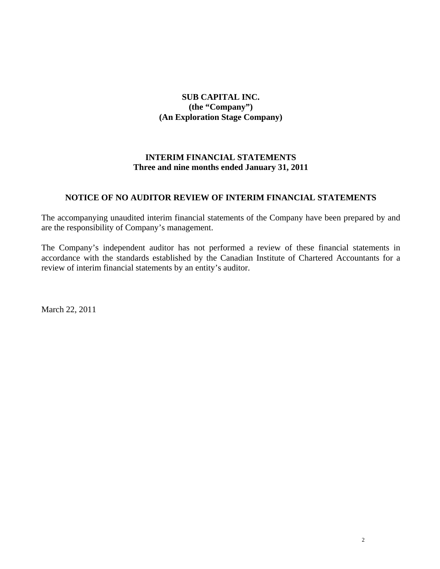# **SUB CAPITAL INC. (the "Company") (An Exploration Stage Company)**

# **INTERIM FINANCIAL STATEMENTS Three and nine months ended January 31, 2011**

# **NOTICE OF NO AUDITOR REVIEW OF INTERIM FINANCIAL STATEMENTS**

The accompanying unaudited interim financial statements of the Company have been prepared by and are the responsibility of Company's management.

The Company's independent auditor has not performed a review of these financial statements in accordance with the standards established by the Canadian Institute of Chartered Accountants for a review of interim financial statements by an entity's auditor.

March 22, 2011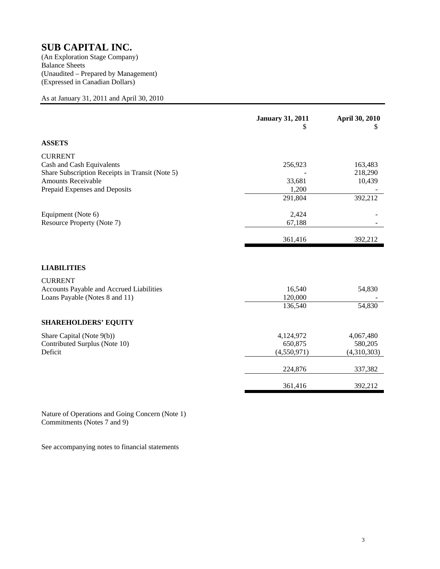Balance Sheets (Unaudited – Prepared by Management) (Expressed in Canadian Dollars)

As at January 31, 2011 and April 30, 2010

|                                                 | <b>January 31, 2011</b><br>S | April 30, 2010<br>S |
|-------------------------------------------------|------------------------------|---------------------|
| <b>ASSETS</b>                                   |                              |                     |
| <b>CURRENT</b>                                  |                              |                     |
| Cash and Cash Equivalents                       | 256,923                      | 163,483             |
| Share Subscription Receipts in Transit (Note 5) |                              | 218,290             |
| <b>Amounts Receivable</b>                       | 33,681                       | 10,439              |
| Prepaid Expenses and Deposits                   | 1,200                        |                     |
|                                                 | 291,804                      | 392,212             |
| Equipment (Note 6)                              | 2,424                        |                     |
| Resource Property (Note 7)                      | 67,188                       |                     |
|                                                 |                              |                     |
|                                                 | 361,416                      | 392,212             |
|                                                 |                              |                     |
| <b>LIABILITIES</b>                              |                              |                     |
| <b>CURRENT</b>                                  |                              |                     |
| Accounts Payable and Accrued Liabilities        | 16,540                       | 54,830              |
| Loans Payable (Notes 8 and 11)                  | 120,000                      |                     |
|                                                 | 136,540                      | 54,830              |
| <b>SHAREHOLDERS' EQUITY</b>                     |                              |                     |
| Share Capital (Note 9(b))                       | 4,124,972                    | 4,067,480           |
| Contributed Surplus (Note 10)                   | 650,875                      | 580,205             |
| Deficit                                         | (4,550,971)                  | (4,310,303)         |
|                                                 | 224,876                      | 337,382             |
|                                                 | 361,416                      | 392,212             |

Nature of Operations and Going Concern (Note 1) Commitments (Notes 7 and 9)

See accompanying notes to financial statements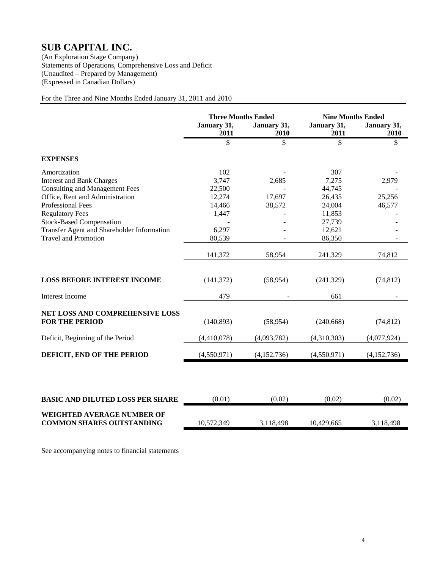Statements of Operations, Comprehensive Loss and Deficit (Unaudited – Prepared by Management) (Expressed in Canadian Dollars)

For the Three and Nine Months Ended January 31, 2011 and 2010

|                                                                       | <b>Three Months Ended</b><br>January 31,<br>January 31, |             | <b>Nine Months Ended</b><br>January 31,<br>January 31, |             |
|-----------------------------------------------------------------------|---------------------------------------------------------|-------------|--------------------------------------------------------|-------------|
|                                                                       | 2011                                                    | 2010        | 2011                                                   | 2010        |
|                                                                       | \$                                                      | \$          | \$                                                     | \$          |
| <b>EXPENSES</b>                                                       |                                                         |             |                                                        |             |
| Amortization                                                          | 102                                                     |             | 307                                                    |             |
| <b>Interest and Bank Charges</b>                                      | 3,747                                                   | 2,685       | 7,275                                                  | 2,979       |
| <b>Consulting and Management Fees</b>                                 | 22,500                                                  |             | 44,745                                                 |             |
| Office, Rent and Administration                                       | 12,274                                                  | 17,697      | 26,435                                                 | 25,256      |
| <b>Professional Fees</b>                                              | 14,466                                                  | 38,572      | 24,004                                                 | 46,577      |
| <b>Regulatory Fees</b>                                                | 1,447                                                   |             | 11,853                                                 |             |
| <b>Stock-Based Compensation</b>                                       |                                                         |             | 27,739                                                 |             |
| Transfer Agent and Shareholder Information                            | 6,297                                                   |             | 12,621                                                 |             |
| <b>Travel and Promotion</b>                                           | 80,539                                                  |             | 86,350                                                 |             |
|                                                                       | 141,372                                                 | 58,954      | 241,329                                                | 74,812      |
| <b>LOSS BEFORE INTEREST INCOME</b>                                    | (141, 372)                                              | (58, 954)   | (241, 329)                                             | (74, 812)   |
| <b>Interest Income</b>                                                | 479                                                     |             | 661                                                    |             |
| NET LOSS AND COMPREHENSIVE LOSS<br><b>FOR THE PERIOD</b>              | (140, 893)                                              | (58, 954)   | (240, 668)                                             | (74, 812)   |
| Deficit, Beginning of the Period                                      | (4,410,078)                                             | (4,093,782) | (4,310,303)                                            | (4,077,924) |
| DEFICIT, END OF THE PERIOD                                            | (4,550,971)                                             | (4,152,736) | (4,550,971)                                            | (4,152,736) |
|                                                                       |                                                         |             |                                                        |             |
| <b>BASIC AND DILUTED LOSS PER SHARE</b>                               | (0.01)                                                  | (0.02)      | (0.02)                                                 | (0.02)      |
| <b>WEIGHTED AVERAGE NUMBER OF</b><br><b>COMMON SHARES OUTSTANDING</b> | 10,572,349                                              | 3,118,498   | 10,429,665                                             | 3,118,498   |

See accompanying notes to financial statements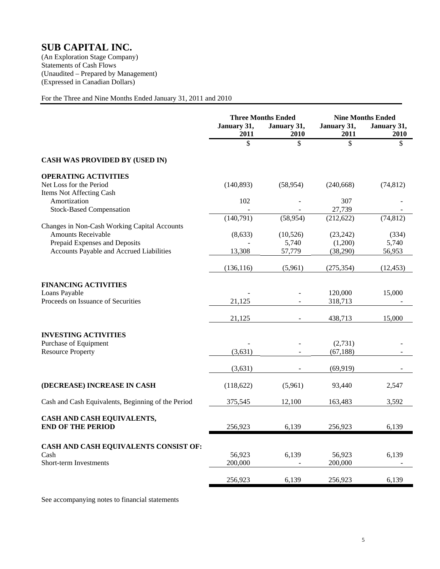# **SUB CAPITAL INC.**

(An Exploration Stage Company) Statements of Cash Flows (Unaudited – Prepared by Management) (Expressed in Canadian Dollars)

For the Three and Nine Months Ended January 31, 2011 and 2010

|                                                                                                 | January 31,<br>2011 | <b>Three Months Ended</b><br>January 31,<br>2010 | January 31,<br>2011              | <b>Nine Months Ended</b><br>January 31,<br>2010 |
|-------------------------------------------------------------------------------------------------|---------------------|--------------------------------------------------|----------------------------------|-------------------------------------------------|
|                                                                                                 | $\mathbf{\hat{S}}$  | \$                                               | \$                               | \$                                              |
| <b>CASH WAS PROVIDED BY (USED IN)</b>                                                           |                     |                                                  |                                  |                                                 |
| <b>OPERATING ACTIVITIES</b><br>Net Loss for the Period<br>Items Not Affecting Cash              | (140, 893)          | (58, 954)                                        | (240, 668)                       | (74, 812)                                       |
| Amortization<br><b>Stock-Based Compensation</b>                                                 | 102                 |                                                  | 307<br>27,739                    |                                                 |
| Changes in Non-Cash Working Capital Accounts                                                    | (140,791)           | (58, 954)                                        | (212, 622)                       | (74, 812)                                       |
| Amounts Receivable<br>Prepaid Expenses and Deposits<br>Accounts Payable and Accrued Liabilities | (8, 633)<br>13,308  | (10, 526)<br>5,740<br>57,779                     | (23, 242)<br>(1,200)<br>(38,290) | (334)<br>5,740<br>56,953                        |
|                                                                                                 | (136, 116)          | (5,961)                                          | (275, 354)                       | (12, 453)                                       |
| <b>FINANCING ACTIVITIES</b><br>Loans Payable<br>Proceeds on Issuance of Securities              | 21,125              |                                                  | 120,000<br>318,713               | 15,000                                          |
|                                                                                                 | 21,125              |                                                  | 438,713                          | 15,000                                          |
| <b>INVESTING ACTIVITIES</b><br>Purchase of Equipment<br><b>Resource Property</b>                | (3,631)             |                                                  | (2,731)<br>(67, 188)             |                                                 |
|                                                                                                 | (3,631)             |                                                  | (69, 919)                        |                                                 |
| (DECREASE) INCREASE IN CASH                                                                     | (118, 622)          | (5,961)                                          | 93,440                           | 2,547                                           |
| Cash and Cash Equivalents, Beginning of the Period                                              | 375,545             | 12,100                                           | 163,483                          | 3,592                                           |
| CASH AND CASH EQUIVALENTS,<br><b>END OF THE PERIOD</b>                                          | 256,923             | 6,139                                            | 256,923                          | 6,139                                           |
| CASH AND CASH EQUIVALENTS CONSIST OF:<br>Cash<br>Short-term Investments                         | 56,923<br>200,000   | 6,139                                            | 56,923<br>200,000                | 6,139                                           |
|                                                                                                 | 256,923             | 6,139                                            | 256,923                          | 6,139                                           |

See accompanying notes to financial statements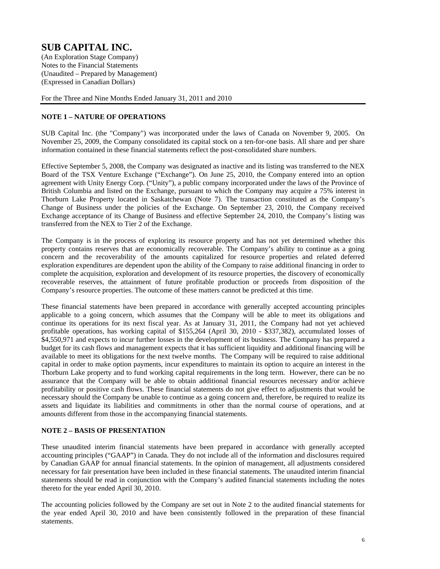Notes to the Financial Statements (Unaudited – Prepared by Management) (Expressed in Canadian Dollars)

For the Three and Nine Months Ended January 31, 2011 and 2010

## **NOTE 1 – NATURE OF OPERATIONS**

SUB Capital Inc. (the "Company") was incorporated under the laws of Canada on November 9, 2005. On November 25, 2009, the Company consolidated its capital stock on a ten-for-one basis. All share and per share information contained in these financial statements reflect the post-consolidated share numbers.

Effective September 5, 2008, the Company was designated as inactive and its listing was transferred to the NEX Board of the TSX Venture Exchange ("Exchange"). On June 25, 2010, the Company entered into an option agreement with Unity Energy Corp. ("Unity"), a public company incorporated under the laws of the Province of British Columbia and listed on the Exchange, pursuant to which the Company may acquire a 75% interest in Thorburn Lake Property located in Saskatchewan (Note 7). The transaction constituted as the Company's Change of Business under the policies of the Exchange. On September 23, 2010, the Company received Exchange acceptance of its Change of Business and effective September 24, 2010, the Company's listing was transferred from the NEX to Tier 2 of the Exchange.

The Company is in the process of exploring its resource property and has not yet determined whether this property contains reserves that are economically recoverable. The Company's ability to continue as a going concern and the recoverability of the amounts capitalized for resource properties and related deferred exploration expenditures are dependent upon the ability of the Company to raise additional financing in order to complete the acquisition, exploration and development of its resource properties, the discovery of economically recoverable reserves, the attainment of future profitable production or proceeds from disposition of the Company's resource properties. The outcome of these matters cannot be predicted at this time.

These financial statements have been prepared in accordance with generally accepted accounting principles applicable to a going concern, which assumes that the Company will be able to meet its obligations and continue its operations for its next fiscal year. As at January 31, 2011, the Company had not yet achieved profitable operations, has working capital of \$155,264 (April 30, 2010 - \$337,382), accumulated losses of \$4,550,971 and expects to incur further losses in the development of its business. The Company has prepared a budget for its cash flows and management expects that it has sufficient liquidity and additional financing will be available to meet its obligations for the next twelve months. The Company will be required to raise additional capital in order to make option payments, incur expenditures to maintain its option to acquire an interest in the Thorburn Lake property and to fund working capital requirements in the long term. However, there can be no assurance that the Company will be able to obtain additional financial resources necessary and/or achieve profitability or positive cash flows. These financial statements do not give effect to adjustments that would be necessary should the Company be unable to continue as a going concern and, therefore, be required to realize its assets and liquidate its liabilities and commitments in other than the normal course of operations, and at amounts different from those in the accompanying financial statements.

### **NOTE 2 – BASIS OF PRESENTATION**

These unaudited interim financial statements have been prepared in accordance with generally accepted accounting principles ("GAAP") in Canada. They do not include all of the information and disclosures required by Canadian GAAP for annual financial statements. In the opinion of management, all adjustments considered necessary for fair presentation have been included in these financial statements. The unaudited interim financial statements should be read in conjunction with the Company's audited financial statements including the notes thereto for the year ended April 30, 2010.

The accounting policies followed by the Company are set out in Note 2 to the audited financial statements for the year ended April 30, 2010 and have been consistently followed in the preparation of these financial statements.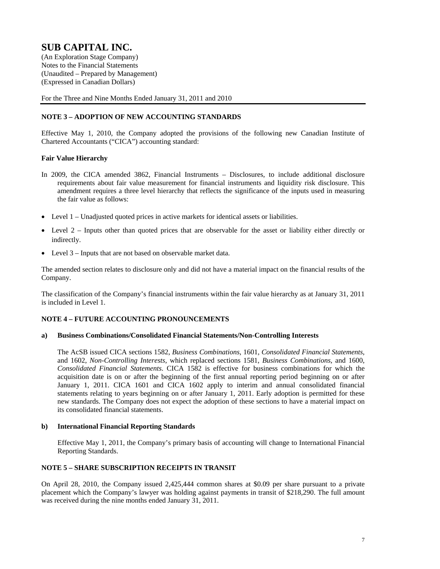Notes to the Financial Statements (Unaudited – Prepared by Management) (Expressed in Canadian Dollars)

For the Three and Nine Months Ended January 31, 2011 and 2010

## **NOTE 3 – ADOPTION OF NEW ACCOUNTING STANDARDS**

Effective May 1, 2010, the Company adopted the provisions of the following new Canadian Institute of Chartered Accountants ("CICA") accounting standard:

### **Fair Value Hierarchy**

- In 2009, the CICA amended 3862, Financial Instruments Disclosures, to include additional disclosure requirements about fair value measurement for financial instruments and liquidity risk disclosure. This amendment requires a three level hierarchy that reflects the significance of the inputs used in measuring the fair value as follows:
- Level 1 Unadjusted quoted prices in active markets for identical assets or liabilities.
- Level 2 Inputs other than quoted prices that are observable for the asset or liability either directly or indirectly.
- Level 3 Inputs that are not based on observable market data.

The amended section relates to disclosure only and did not have a material impact on the financial results of the Company.

The classification of the Company's financial instruments within the fair value hierarchy as at January 31, 2011 is included in Level 1.

### **NOTE 4 – FUTURE ACCOUNTING PRONOUNCEMENTS**

#### **a) Business Combinations/Consolidated Financial Statements/Non-Controlling Interests**

The AcSB issued CICA sections 1582, *Business Combinations*, 1601, *Consolidated Financial Statements*, and 1602, *Non-Controlling Interests*, which replaced sections 1581, *Business Combinations*, and 1600, *Consolidated Financial Statements*. CICA 1582 is effective for business combinations for which the acquisition date is on or after the beginning of the first annual reporting period beginning on or after January 1, 2011. CICA 1601 and CICA 1602 apply to interim and annual consolidated financial statements relating to years beginning on or after January 1, 2011. Early adoption is permitted for these new standards. The Company does not expect the adoption of these sections to have a material impact on its consolidated financial statements.

#### **b) International Financial Reporting Standards**

 Effective May 1, 2011, the Company's primary basis of accounting will change to International Financial Reporting Standards.

### **NOTE 5 – SHARE SUBSCRIPTION RECEIPTS IN TRANSIT**

On April 28, 2010, the Company issued 2,425,444 common shares at \$0.09 per share pursuant to a private placement which the Company's lawyer was holding against payments in transit of \$218,290. The full amount was received during the nine months ended January 31, 2011.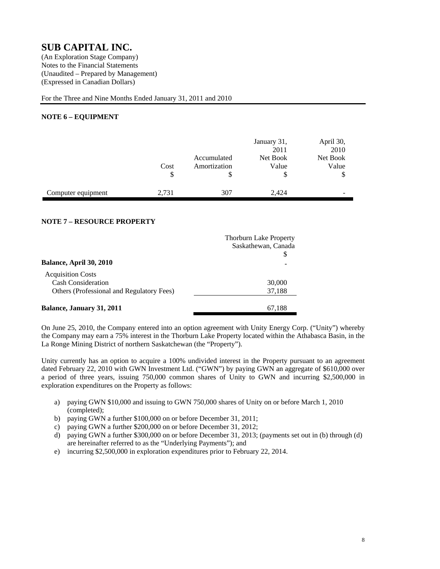Notes to the Financial Statements (Unaudited – Prepared by Management) (Expressed in Canadian Dollars)

For the Three and Nine Months Ended January 31, 2011 and 2010

### **NOTE 6 – EQUIPMENT**

|                    | Cost<br>\$ | Accumulated<br>Amortization | January 31,<br>2011<br>Net Book<br>Value<br>\$ | April 30,<br>2010<br>Net Book<br>Value<br>\$ |
|--------------------|------------|-----------------------------|------------------------------------------------|----------------------------------------------|
| Computer equipment | 2,731      | 307                         | 2.424                                          | -                                            |

# **NOTE 7 – RESOURCE PROPERTY**

|                                           | <b>Thorburn Lake Property</b> |
|-------------------------------------------|-------------------------------|
|                                           | Saskathewan, Canada           |
|                                           |                               |
| <b>Balance, April 30, 2010</b>            |                               |
| <b>Acquisition Costs</b>                  |                               |
| <b>Cash Consideration</b>                 | 30,000                        |
| Others (Professional and Regulatory Fees) | 37,188                        |
| <b>Balance, January 31, 2011</b>          | 67,188                        |
|                                           |                               |

On June 25, 2010, the Company entered into an option agreement with Unity Energy Corp. ("Unity") whereby the Company may earn a 75% interest in the Thorburn Lake Property located within the Athabasca Basin, in the La Ronge Mining District of northern Saskatchewan (the "Property").

Unity currently has an option to acquire a 100% undivided interest in the Property pursuant to an agreement dated February 22, 2010 with GWN Investment Ltd. ("GWN") by paying GWN an aggregate of \$610,000 over a period of three years, issuing 750,000 common shares of Unity to GWN and incurring \$2,500,000 in exploration expenditures on the Property as follows:

- a) paying GWN \$10,000 and issuing to GWN 750,000 shares of Unity on or before March 1, 2010 (completed);
- b) paying GWN a further \$100,000 on or before December 31, 2011;
- c) paying GWN a further \$200,000 on or before December 31, 2012;
- d) paying GWN a further \$300,000 on or before December 31, 2013; (payments set out in (b) through (d) are hereinafter referred to as the "Underlying Payments"); and
- e) incurring \$2,500,000 in exploration expenditures prior to February 22, 2014.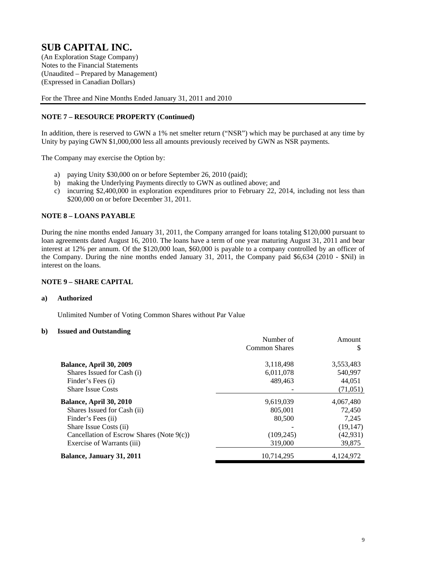Notes to the Financial Statements (Unaudited – Prepared by Management) (Expressed in Canadian Dollars)

For the Three and Nine Months Ended January 31, 2011 and 2010

## **NOTE 7 – RESOURCE PROPERTY (Continued)**

In addition, there is reserved to GWN a 1% net smelter return ("NSR") which may be purchased at any time by Unity by paying GWN \$1,000,000 less all amounts previously received by GWN as NSR payments.

The Company may exercise the Option by:

- a) paying Unity \$30,000 on or before September 26, 2010 (paid);
- b) making the Underlying Payments directly to GWN as outlined above; and
- c) incurring \$2,400,000 in exploration expenditures prior to February 22, 2014, including not less than \$200,000 on or before December 31, 2011.

#### **NOTE 8 – LOANS PAYABLE**

During the nine months ended January 31, 2011, the Company arranged for loans totaling \$120,000 pursuant to loan agreements dated August 16, 2010. The loans have a term of one year maturing August 31, 2011 and bear interest at 12% per annum. Of the \$120,000 loan, \$60,000 is payable to a company controlled by an officer of the Company. During the nine months ended January 31, 2011, the Company paid \$6,634 (2010 - \$Nil) in interest on the loans.

### **NOTE 9 – SHARE CAPITAL**

#### **a) Authorized**

Unlimited Number of Voting Common Shares without Par Value

### **b) Issued and Outstanding**

|                                              | Number of     | Amount    |
|----------------------------------------------|---------------|-----------|
|                                              | Common Shares | S         |
| Balance, April 30, 2009                      | 3,118,498     | 3,553,483 |
| Shares Issued for Cash (i)                   | 6,011,078     | 540,997   |
| Finder's Fees (i)                            | 489.463       | 44.051    |
| <b>Share Issue Costs</b>                     |               | (71, 051) |
| Balance, April 30, 2010                      | 9,619,039     | 4,067,480 |
| Shares Issued for Cash (ii)                  | 805,001       | 72,450    |
| Finder's Fees (ii)                           | 80,500        | 7,245     |
| Share Issue Costs (ii)                       |               | (19, 147) |
| Cancellation of Escrow Shares (Note $9(c)$ ) | (109, 245)    | (42, 931) |
| Exercise of Warrants (iii)                   | 319,000       | 39,875    |
| Balance, January 31, 2011                    | 10.714.295    | 4,124,972 |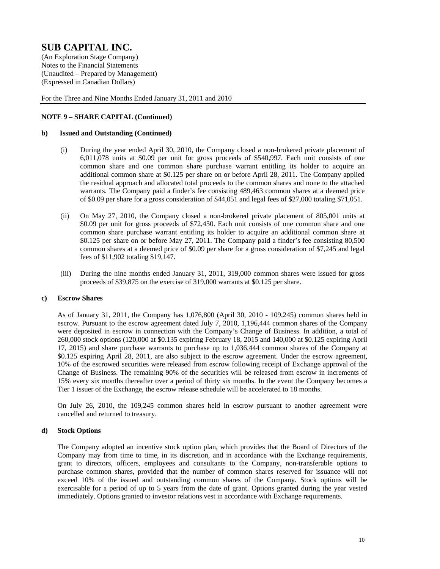Notes to the Financial Statements (Unaudited – Prepared by Management) (Expressed in Canadian Dollars)

For the Three and Nine Months Ended January 31, 2011 and 2010

### **NOTE 9 – SHARE CAPITAL (Continued)**

#### **b) Issued and Outstanding (Continued)**

- (i) During the year ended April 30, 2010, the Company closed a non-brokered private placement of 6,011,078 units at \$0.09 per unit for gross proceeds of \$540,997. Each unit consists of one common share and one common share purchase warrant entitling its holder to acquire an additional common share at \$0.125 per share on or before April 28, 2011. The Company applied the residual approach and allocated total proceeds to the common shares and none to the attached warrants. The Company paid a finder's fee consisting 489,463 common shares at a deemed price of \$0.09 per share for a gross consideration of \$44,051 and legal fees of \$27,000 totaling \$71,051.
- (ii) On May 27, 2010, the Company closed a non-brokered private placement of 805,001 units at \$0.09 per unit for gross proceeds of \$72,450. Each unit consists of one common share and one common share purchase warrant entitling its holder to acquire an additional common share at \$0.125 per share on or before May 27, 2011. The Company paid a finder's fee consisting 80,500 common shares at a deemed price of \$0.09 per share for a gross consideration of \$7,245 and legal fees of \$11,902 totaling \$19,147.
- (iii) During the nine months ended January 31, 2011, 319,000 common shares were issued for gross proceeds of \$39,875 on the exercise of 319,000 warrants at \$0.125 per share.

#### **c) Escrow Shares**

As of January 31, 2011, the Company has 1,076,800 (April 30, 2010 - 109,245) common shares held in escrow. Pursuant to the escrow agreement dated July 7, 2010, 1,196,444 common shares of the Company were deposited in escrow in connection with the Company's Change of Business. In addition, a total of 260,000 stock options (120,000 at \$0.135 expiring February 18, 2015 and 140,000 at \$0.125 expiring April 17, 2015) and share purchase warrants to purchase up to 1,036,444 common shares of the Company at \$0.125 expiring April 28, 2011, are also subject to the escrow agreement. Under the escrow agreement, 10% of the escrowed securities were released from escrow following receipt of Exchange approval of the Change of Business. The remaining 90% of the securities will be released from escrow in increments of 15% every six months thereafter over a period of thirty six months. In the event the Company becomes a Tier 1 issuer of the Exchange, the escrow release schedule will be accelerated to 18 months.

On July 26, 2010, the 109,245 common shares held in escrow pursuant to another agreement were cancelled and returned to treasury.

#### **d) Stock Options**

The Company adopted an incentive stock option plan, which provides that the Board of Directors of the Company may from time to time, in its discretion, and in accordance with the Exchange requirements, grant to directors, officers, employees and consultants to the Company, non-transferable options to purchase common shares, provided that the number of common shares reserved for issuance will not exceed 10% of the issued and outstanding common shares of the Company. Stock options will be exercisable for a period of up to 5 years from the date of grant. Options granted during the year vested immediately. Options granted to investor relations vest in accordance with Exchange requirements.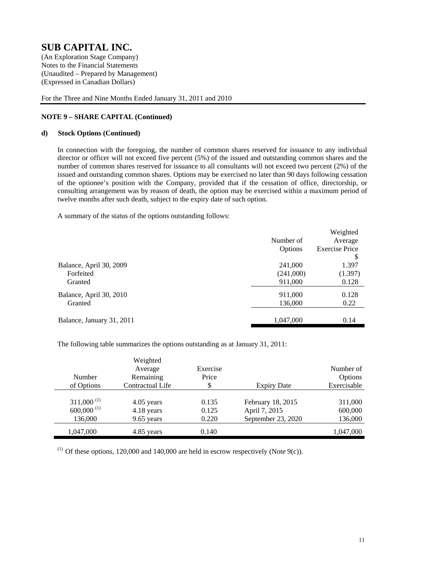Notes to the Financial Statements (Unaudited – Prepared by Management) (Expressed in Canadian Dollars)

For the Three and Nine Months Ended January 31, 2011 and 2010

## **NOTE 9 – SHARE CAPITAL (Continued)**

#### **d) Stock Options (Continued)**

In connection with the foregoing, the number of common shares reserved for issuance to any individual director or officer will not exceed five percent (5%) of the issued and outstanding common shares and the number of common shares reserved for issuance to all consultants will not exceed two percent (2%) of the issued and outstanding common shares. Options may be exercised no later than 90 days following cessation of the optionee's position with the Company, provided that if the cessation of office, directorship, or consulting arrangement was by reason of death, the option may be exercised within a maximum period of twelve months after such death, subject to the expiry date of such option.

A summary of the status of the options outstanding follows:

|           | Weighted              |
|-----------|-----------------------|
| Number of | Average               |
| Options   | <b>Exercise Price</b> |
|           | \$                    |
| 241,000   | 1.397                 |
| (241,000) | (1.397)               |
| 911,000   | 0.128                 |
| 911,000   | 0.128                 |
| 136,000   | 0.22                  |
|           |                       |
| 1,047,000 | 0.14                  |
|           |                       |

The following table summarizes the options outstanding as at January 31, 2011:

|                          | Weighted         |          |                    |             |
|--------------------------|------------------|----------|--------------------|-------------|
|                          | Average          | Exercise |                    | Number of   |
| Number                   | Remaining        | Price    |                    | Options     |
| of Options               | Contractual Life | \$       | <b>Expiry Date</b> | Exercisable |
|                          |                  |          |                    |             |
| $311,000^{(1)}$          | 4.05 years       | 0.135    | February 18, 2015  | 311,000     |
| $600,000$ <sup>(1)</sup> | 4.18 years       | 0.125    | April 7, 2015      | 600,000     |
| 136,000                  | 9.65 years       | 0.220    | September 23, 2020 | 136,000     |
| 1,047,000                | 4.85 years       | 0.140    |                    | 1,047,000   |

(1) Of these options, 120,000 and 140,000 are held in escrow respectively (Note 9(c)).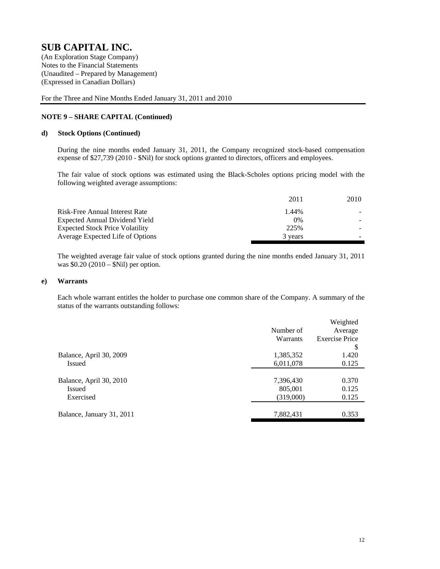Notes to the Financial Statements (Unaudited – Prepared by Management) (Expressed in Canadian Dollars)

For the Three and Nine Months Ended January 31, 2011 and 2010

#### **NOTE 9 – SHARE CAPITAL (Continued)**

#### **d) Stock Options (Continued)**

During the nine months ended January 31, 2011, the Company recognized stock-based compensation expense of \$27,739 (2010 - \$Nil) for stock options granted to directors, officers and employees.

The fair value of stock options was estimated using the Black-Scholes options pricing model with the following weighted average assumptions:

| 2011    | 2010 |
|---------|------|
| 1.44%   |      |
| $0\%$   |      |
| 225%    |      |
| 3 years |      |
|         |      |

The weighted average fair value of stock options granted during the nine months ended January 31, 2011 was \$0.20 (2010 – \$Nil) per option.

#### **e) Warrants**

Each whole warrant entitles the holder to purchase one common share of the Company. A summary of the status of the warrants outstanding follows:

|                           |           | Weighted              |
|---------------------------|-----------|-----------------------|
|                           | Number of | Average               |
|                           | Warrants  | <b>Exercise Price</b> |
|                           |           | \$                    |
| Balance, April 30, 2009   | 1,385,352 | 1.420                 |
| Issued                    | 6,011,078 | 0.125                 |
|                           |           |                       |
| Balance, April 30, 2010   | 7,396,430 | 0.370                 |
| Issued                    | 805,001   | 0.125                 |
| Exercised                 | (319,000) | 0.125                 |
|                           |           |                       |
| Balance, January 31, 2011 | 7,882,431 | 0.353                 |
|                           |           |                       |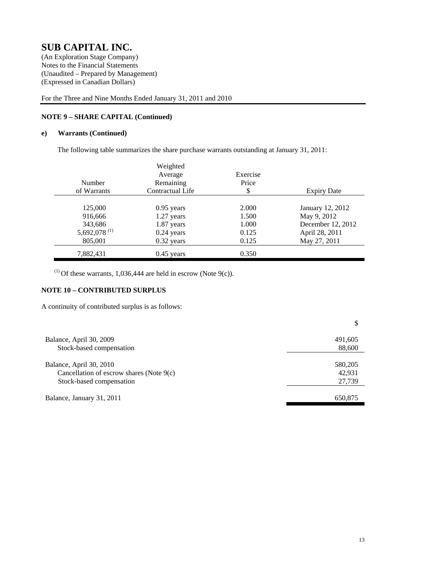Notes to the Financial Statements (Unaudited – Prepared by Management) (Expressed in Canadian Dollars)

For the Three and Nine Months Ended January 31, 2011 and 2010

# **NOTE 9 – SHARE CAPITAL (Continued)**

### **e) Warrants (Continued)**

The following table summarizes the share purchase warrants outstanding at January 31, 2011:

|                          | Weighted         |          |                    |
|--------------------------|------------------|----------|--------------------|
|                          | Average          | Exercise |                    |
| Number                   | Remaining        | Price    |                    |
| of Warrants              | Contractual Life | \$       | <b>Expiry Date</b> |
|                          |                  |          |                    |
| 125,000                  | $0.95$ years     | 2.000    | January 12, 2012   |
| 916,666                  | 1.27 years       | 1.500    | May 9, 2012        |
| 343,686                  | $1.87$ years     | 1.000    | December 12, 2012  |
| 5,692,078 <sup>(1)</sup> | $0.24$ years     | 0.125    | April 28, 2011     |
| 805,001                  | $0.32$ years     | 0.125    | May 27, 2011       |
| 7,882,431                | $0.45$ years     | 0.350    |                    |

(1) Of these warrants, 1,036,444 are held in escrow (Note 9(c)).

## **NOTE 10 – CONTRIBUTED SURPLUS**

A continuity of contributed surplus is as follows:

| Balance, April 30, 2009                                                                         | 491,605                     |
|-------------------------------------------------------------------------------------------------|-----------------------------|
| Stock-based compensation                                                                        | 88,600                      |
| Balance, April 30, 2010<br>Cancellation of escrow shares (Note 9(c)<br>Stock-based compensation | 580,205<br>42.931<br>27,739 |
| Balance, January 31, 2011                                                                       | 650.875                     |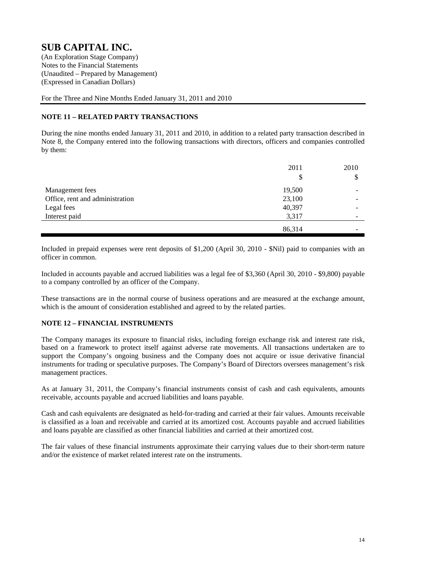Notes to the Financial Statements (Unaudited – Prepared by Management) (Expressed in Canadian Dollars)

For the Three and Nine Months Ended January 31, 2011 and 2010

# **NOTE 11 – RELATED PARTY TRANSACTIONS**

During the nine months ended January 31, 2011 and 2010, in addition to a related party transaction described in Note 8, the Company entered into the following transactions with directors, officers and companies controlled by them:

|                                 | 2011   | 2010 |
|---------------------------------|--------|------|
|                                 | S      | \$   |
| Management fees                 | 19,500 |      |
| Office, rent and administration | 23,100 |      |
| Legal fees                      | 40,397 |      |
| Interest paid                   | 3,317  |      |
|                                 | 86,314 |      |

Included in prepaid expenses were rent deposits of \$1,200 (April 30, 2010 - \$Nil) paid to companies with an officer in common.

Included in accounts payable and accrued liabilities was a legal fee of \$3,360 (April 30, 2010 - \$9,800) payable to a company controlled by an officer of the Company.

These transactions are in the normal course of business operations and are measured at the exchange amount, which is the amount of consideration established and agreed to by the related parties.

### **NOTE 12 – FINANCIAL INSTRUMENTS**

The Company manages its exposure to financial risks, including foreign exchange risk and interest rate risk, based on a framework to protect itself against adverse rate movements. All transactions undertaken are to support the Company's ongoing business and the Company does not acquire or issue derivative financial instruments for trading or speculative purposes. The Company's Board of Directors oversees management's risk management practices.

As at January 31, 2011, the Company's financial instruments consist of cash and cash equivalents, amounts receivable, accounts payable and accrued liabilities and loans payable.

Cash and cash equivalents are designated as held-for-trading and carried at their fair values. Amounts receivable is classified as a loan and receivable and carried at its amortized cost. Accounts payable and accrued liabilities and loans payable are classified as other financial liabilities and carried at their amortized cost.

The fair values of these financial instruments approximate their carrying values due to their short-term nature and/or the existence of market related interest rate on the instruments.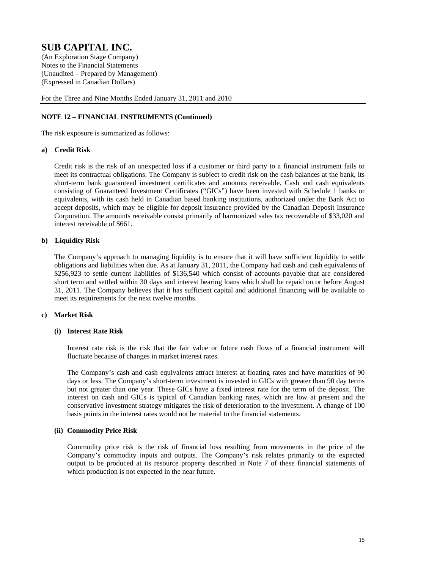Notes to the Financial Statements (Unaudited – Prepared by Management) (Expressed in Canadian Dollars)

For the Three and Nine Months Ended January 31, 2011 and 2010

### **NOTE 12 – FINANCIAL INSTRUMENTS (Continued)**

The risk exposure is summarized as follows:

#### **a) Credit Risk**

Credit risk is the risk of an unexpected loss if a customer or third party to a financial instrument fails to meet its contractual obligations. The Company is subject to credit risk on the cash balances at the bank, its short-term bank guaranteed investment certificates and amounts receivable. Cash and cash equivalents consisting of Guaranteed Investment Certificates ("GICs") have been invested with Schedule 1 banks or equivalents, with its cash held in Canadian based banking institutions, authorized under the Bank Act to accept deposits, which may be eligible for deposit insurance provided by the Canadian Deposit Insurance Corporation. The amounts receivable consist primarily of harmonized sales tax recoverable of \$33,020 and interest receivable of \$661.

#### **b) Liquidity Risk**

The Company's approach to managing liquidity is to ensure that it will have sufficient liquidity to settle obligations and liabilities when due. As at January 31, 2011, the Company had cash and cash equivalents of \$256,923 to settle current liabilities of \$136,540 which consist of accounts payable that are considered short term and settled within 30 days and interest bearing loans which shall be repaid on or before August 31, 2011. The Company believes that it has sufficient capital and additional financing will be available to meet its requirements for the next twelve months.

#### **c) Market Risk**

#### **(i) Interest Rate Risk**

Interest rate risk is the risk that the fair value or future cash flows of a financial instrument will fluctuate because of changes in market interest rates.

The Company's cash and cash equivalents attract interest at floating rates and have maturities of 90 days or less. The Company's short-term investment is invested in GICs with greater than 90 day terms but not greater than one year. These GICs have a fixed interest rate for the term of the deposit. The interest on cash and GICs is typical of Canadian banking rates, which are low at present and the conservative investment strategy mitigates the risk of deterioration to the investment. A change of 100 basis points in the interest rates would not be material to the financial statements.

#### **(ii) Commodity Price Risk**

Commodity price risk is the risk of financial loss resulting from movements in the price of the Company's commodity inputs and outputs. The Company's risk relates primarily to the expected output to be produced at its resource property described in Note 7 of these financial statements of which production is not expected in the near future.